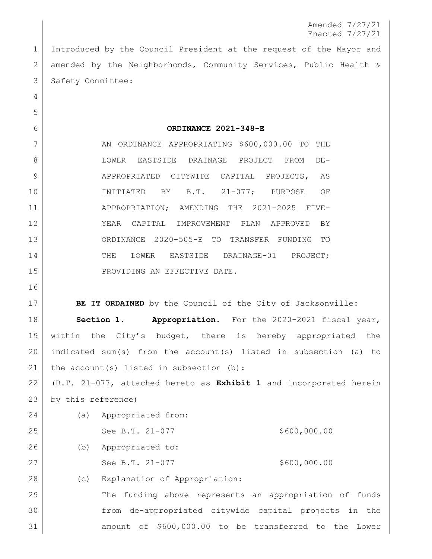Amended 7/27/21 Enacted 7/27/21

 Introduced by the Council President at the request of the Mayor and amended by the Neighborhoods, Community Services, Public Health & 3 Safety Committee:

**ORDINANCE 2021-348-E**

7 AN ORDINANCE APPROPRIATING \$600,000.00 TO THE LOWER EASTSIDE DRAINAGE PROJECT FROM DE- APPROPRIATED CITYWIDE CAPITAL PROJECTS, AS INITIATED BY B.T. 21-077; PURPOSE OF APPROPRIATION; AMENDING THE 2021-2025 FIVE- YEAR CAPITAL IMPROVEMENT PLAN APPROVED BY ORDINANCE 2020-505-E TO TRANSFER FUNDING TO 14 THE LOWER EASTSIDE DRAINAGE-01 PROJECT: 15 PROVIDING AN EFFECTIVE DATE.

**BE IT ORDAINED** by the Council of the City of Jacksonville:

 **Section 1. Appropriation.** For the 2020-2021 fiscal year, within the City's budget, there is hereby appropriated the indicated sum(s) from the account(s) listed in subsection (a) to 21 | the account (s) listed in subsection  $(b)$ :

 (B.T. 21-077, attached hereto as **Exhibit 1** and incorporated herein by this reference)

 (a) Appropriated from: 25 See B.T. 21-077 \$600,000.00 (b) Appropriated to: 27 See B.T. 21-077 \$600,000.00 (c) Explanation of Appropriation:

 The funding above represents an appropriation of funds from de-appropriated citywide capital projects in the amount of \$600,000.00 to be transferred to the Lower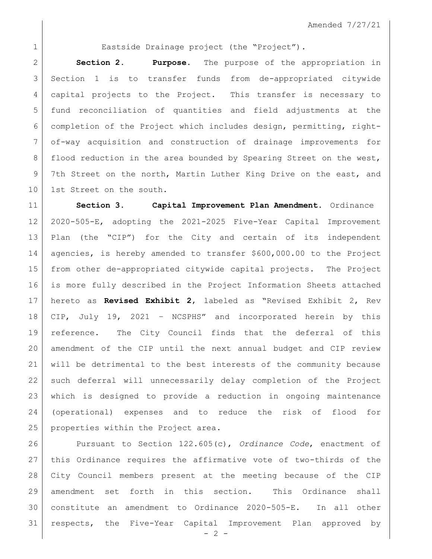1 Eastside Drainage project (the "Project").

 **Section 2. Purpose.** The purpose of the appropriation in Section 1 is to transfer funds from de-appropriated citywide capital projects to the Project. This transfer is necessary to fund reconciliation of quantities and field adjustments at the completion of the Project which includes design, permitting, right- of-way acquisition and construction of drainage improvements for 8 | flood reduction in the area bounded by Spearing Street on the west, 9 7th Street on the north, Martin Luther King Drive on the east, and 10 1st Street on the south.

 **Section 3. Capital Improvement Plan Amendment.** Ordinance 2020-505-E, adopting the 2021-2025 Five-Year Capital Improvement Plan (the "CIP") for the City and certain of its independent agencies, is hereby amended to transfer \$600,000.00 to the Project from other de-appropriated citywide capital projects. The Project is more fully described in the Project Information Sheets attached hereto as **Revised Exhibit 2**, labeled as "Revised Exhibit 2, Rev CIP, July 19, 2021 – NCSPHS" and incorporated herein by this reference. The City Council finds that the deferral of this amendment of the CIP until the next annual budget and CIP review will be detrimental to the best interests of the community because such deferral will unnecessarily delay completion of the Project which is designed to provide a reduction in ongoing maintenance (operational) expenses and to reduce the risk of flood for 25 properties within the Project area.

 Pursuant to Section 122.605(c), *Ordinance Code*, enactment of this Ordinance requires the affirmative vote of two-thirds of the City Council members present at the meeting because of the CIP amendment set forth in this section. This Ordinance shall constitute an amendment to Ordinance 2020-505-E. In all other respects, the Five-Year Capital Improvement Plan approved by

 $- 2 -$